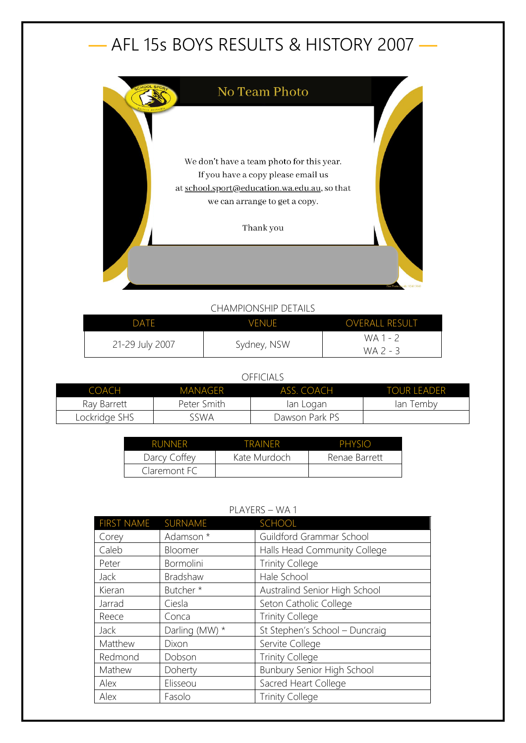# — AFL 15s BOYS RESULTS & HISTORY 2007 —



## CHAMPIONSHIP DETAILS

| DATF            | <b>VENUE</b> | <b>OVERALL RESULT</b> |
|-----------------|--------------|-----------------------|
| 21-29 July 2007 | Sydney, NSW  | WA 1 - 2              |
|                 |              | $WA$ 2 - 3            |

#### OFFICIALS

| COACH         | <b>MANAGER</b> | ASS. COACH     | <b>TOUR LEADER</b> |
|---------------|----------------|----------------|--------------------|
| Ray Barrett   | Peter Smith    | lan Logan      | lan Tembv          |
| Lockridge SHS | sswa           | Dawson Park PS |                    |

| <b>RUNNER</b> | TRAINFR      | PHYSIO        |
|---------------|--------------|---------------|
| Darcy Coffey  | Kate Murdoch | Renae Barrett |
| Claremont FC  |              |               |

## PLAYERS – WA 1

| <b>FIRST NAME</b> | SURNAME        | <b>SCHOOL</b>                  |
|-------------------|----------------|--------------------------------|
| Corey             | Adamson *      | Guildford Grammar School       |
| Caleb             | Bloomer        | Halls Head Community College   |
| Peter             | Bormolini      | <b>Trinity College</b>         |
| <b>Jack</b>       | Bradshaw       | Hale School                    |
| Kieran            | Butcher*       | Australind Senior High School  |
| Jarrad            | Ciesla         | Seton Catholic College         |
| Reece             | Conca          | <b>Trinity College</b>         |
| Jack              | Darling (MW) * | St Stephen's School - Duncraig |
| Matthew           | Dixon          | Servite College                |
| Redmond           | Dobson         | <b>Trinity College</b>         |
| Mathew            | Doherty        | Bunbury Senior High School     |
| Alex              | Elisseou       | Sacred Heart College           |
| Alex              | Fasolo         | <b>Trinity College</b>         |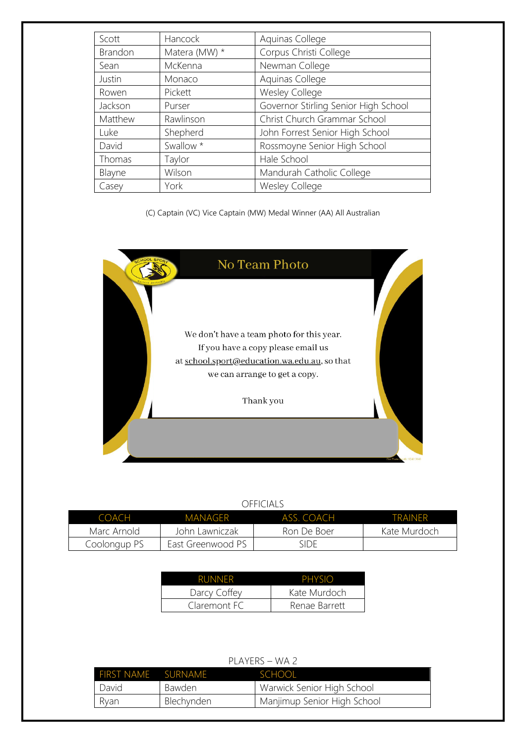| Scott   | Hancock       | Aquinas College                      |
|---------|---------------|--------------------------------------|
| Brandon | Matera (MW) * | Corpus Christi College               |
| Sean    | McKenna       | Newman College                       |
| Justin  | Monaco        | Aquinas College                      |
| Rowen   | Pickett       | Wesley College                       |
| Jackson | Purser        | Governor Stirling Senior High School |
| Matthew | Rawlinson     | Christ Church Grammar School         |
| Luke    | Shepherd      | John Forrest Senior High School      |
| David   | Swallow *     | Rossmoyne Senior High School         |
| Thomas  | Taylor        | Hale School                          |
| Blayne  | Wilson        | Mandurah Catholic College            |
| Casey   | York          | <b>Wesley College</b>                |

#### (C) Captain (VC) Vice Captain (MW) Medal Winner (AA) All Australian



### OFFICIALS

| $C$ $O$ $A$ $CH$ | MANAGFR           | ASS COACH   | <b>TRAINFR</b> |
|------------------|-------------------|-------------|----------------|
| Marc Arnold      | John Lawniczak    | Ron De Boer | Kate Murdoch   |
| Coolongup PS     | East Greenwood PS | side        |                |

| <b>RUNNER</b> | PHYSIO        |
|---------------|---------------|
| Darcy Coffey  | Kate Murdoch  |
| Claremont FC  | Renae Barrett |

| $L_{\text{L}}$ $\sim$ $L_{\text{L}}$ $\sim$ $L_{\text{L}}$ $\sim$ $L_{\text{L}}$ |            |                             |  |
|----------------------------------------------------------------------------------|------------|-----------------------------|--|
| FIRST NAME SURNAME                                                               |            | SCHOOL                      |  |
| David                                                                            | Bawden     | Warwick Senior High School  |  |
| Ryan                                                                             | Blechynden | Manjimup Senior High School |  |
|                                                                                  |            |                             |  |

## PLAYERS – WA 2